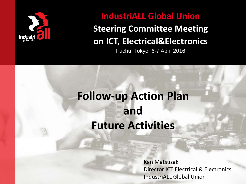

### **IndustriALL Global Union**

### **Steering Committee Meeting on ICT, Electrical&Electronics**

Fuchu, Tokyo, 6-7 April 2016

### **Follow-up Action Plan and Future Activities**

Kan Matsuzaki Director ICT Electrical & Electronics IndustriALL Global Union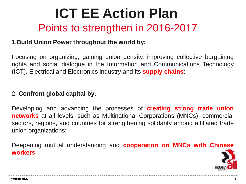## **ICT EE Action Plan** Points to strengthen in 2016-2017

#### **1.Build Union Power throughout the world by:**

Focusing on organizing, gaining union density, improving collective bargaining rights and social dialogue in the Information and Communications Technology (ICT), Electrical and Electronics industry and its **supply chains**;

#### 2. **Confront global capital by:**

Developing and advancing the processes of **creating strong trade union networks** at all levels, such as Multinational Corporations (MNCs), commercial sectors, regions, and countries for strengthening solidarity among affiliated trade union organizations;

Deepening mutual understanding and **cooperation on MNCs with Chinese workers**

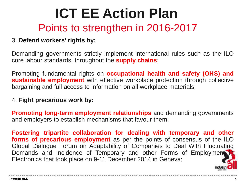## **ICT EE Action Plan** Points to strengthen in 2016-2017

#### 3. **Defend workers' rights by:**

Demanding governments strictly implement international rules such as the ILO core labour standards, throughout the **supply chains**;

Promoting fundamental rights on **occupational health and safety (OHS) and sustainable employment** with effective workplace protection through collective bargaining and full access to information on all workplace materials;

#### 4. **Fight precarious work by:**

**Promoting long-term employment relationships** and demanding governments and employers to establish mechanisms that favour them;

**Fostering tripartite collaboration for dealing with temporary and other forms of precarious employment** as per the points of consensus of the ILO Global Dialogue Forum on Adaptability of Companies to Deal With Fluctuating Demands and Incidence of Temporary and other Forms of Employment Electronics that took place on 9-11 December 2014 in Geneva;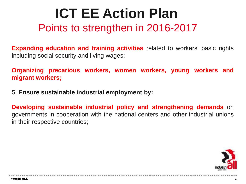## **ICT EE Action Plan** Points to strengthen in 2016-2017

**Expanding education and training activities** related to workers' basic rights including social security and living wages;

**Organizing precarious workers, women workers, young workers and migrant workers;**

5. **Ensure sustainable industrial employment by:**

**Developing sustainable industrial policy and strengthening demands** on governments in cooperation with the national centers and other industrial unions in their respective countries;

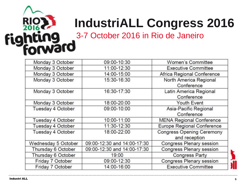

## **IndustriALL Congress 2016**

3-7 October 2016 in Rio de Janeiro

| Monday 3 October    | 09:00-10:30                 | Women's Committee                |
|---------------------|-----------------------------|----------------------------------|
| Monday 3 October    | 11:00-12:30                 | <b>Executive Committee</b>       |
| Monday 3 October    | 14:00-15:00                 | Africa Regional Conference       |
| Monday 3 October    | 15:30-16:30                 | North America Regional           |
|                     |                             | Conference                       |
| Monday 3 October    | 16:30-17:30                 | Latin America Regional           |
|                     |                             | Conference                       |
| Monday 3 October    | 18:00-20:00                 | Youth Event                      |
| Tuesday 4 October   | 09:00-10:00                 | Asia-Pacific Regional            |
|                     |                             | Conference                       |
| Tuesday 4 October   | 10:00-11:00                 | <b>MENA Regional Conference</b>  |
| Tuesday 4 October   | 11:30-12:30                 | Europe Regional Conference       |
| Tuesday 4 October   | 18:00-22:00                 | <b>Congress Opening Ceremony</b> |
|                     |                             | and reception                    |
| Wednesday 5 October | 09:00-12:30 and 14:00-17:30 | Congress Plenary session         |
| Thursday 6 October  | 09:00-12:30 and 14:00-17:30 | Congress Plenary session         |
| Thursday 6 October  | 19:00                       | <b>Congress Party</b>            |
| Friday 7 October    | 09:00-12:30                 | Congress Plenary session         |
| Friday 7 October    | 14:00-16:00                 | <b>Executive Committee</b>       |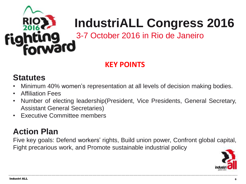

## **IndustriALL Congress 2016**

3-7 October 2016 in Rio de Janeiro

### **KEY POINTS**

### **Statutes**

- Minimum 40% women's representation at all levels of decision making bodies.
- Affiliation Fees
- Number of electing leadership(President, Vice Presidents, General Secretary, Assistant General Secretaries)
- Executive Committee members

### **Action Plan**

Five key goals: Defend workers' rights, Build union power, Confront global capital, Fight precarious work, and Promote sustainable industrial policy